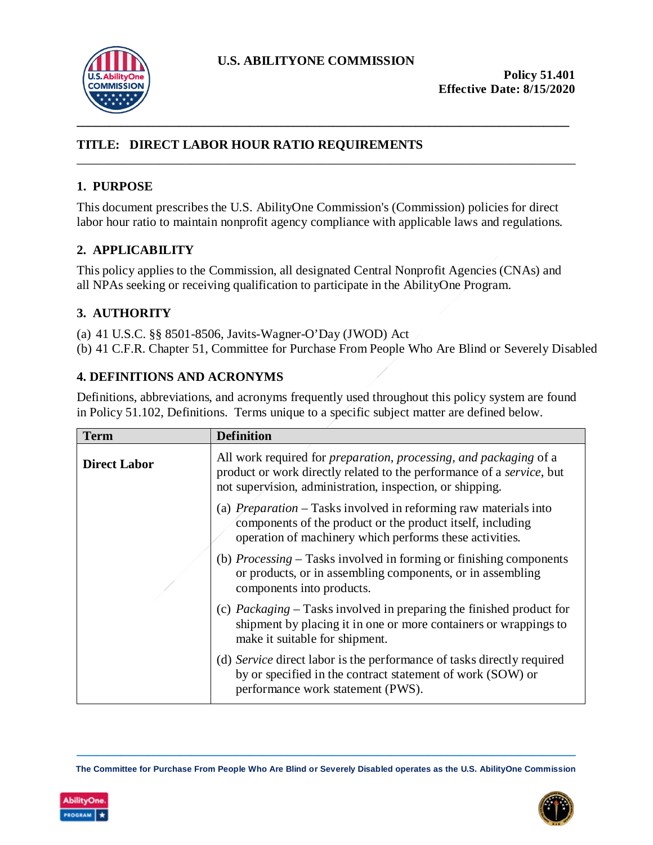

# **TITLE: DIRECT LABOR HOUR RATIO REQUIREMENTS**

### **1. PURPOSE**

This document prescribes the U.S. AbilityOne Commission's (Commission) policies for direct labor hour ratio to maintain nonprofit agency compliance with applicable laws and regulations.

\_\_\_\_\_\_\_\_\_\_\_\_\_\_\_\_\_\_\_\_\_\_\_\_\_\_\_\_\_\_\_\_\_\_\_\_\_\_\_\_\_\_\_\_\_\_\_\_\_\_\_\_\_\_\_\_\_\_\_\_\_\_\_\_\_\_\_\_\_\_\_\_\_\_\_\_\_\_

### **2. APPLICABILITY**

This policy applies to the Commission, all designated Central Nonprofit Agencies (CNAs) and all NPAs seeking or receiving qualification to participate in the AbilityOne Program.

### **3. AUTHORITY**

(a) 41 U.S.C. §§ 8501-8506, Javits-Wagner-O'Day (JWOD) Act

(b) 41 C.F.R. Chapter 51, Committee for Purchase From People Who Are Blind or Severely Disabled

### **4. DEFINITIONS AND ACRONYMS**

Definitions, abbreviations, and acronyms frequently used throughout this policy system are found in Policy 51.102, Definitions. Terms unique to a specific subject matter are defined below.

| <b>Term</b>         | <b>Definition</b>                                                                                                                                                                                                              |
|---------------------|--------------------------------------------------------------------------------------------------------------------------------------------------------------------------------------------------------------------------------|
| <b>Direct Labor</b> | All work required for <i>preparation</i> , <i>processing</i> , and <i>packaging</i> of a<br>product or work directly related to the performance of a service, but<br>not supervision, administration, inspection, or shipping. |
|                     | (a) <i>Preparation</i> – Tasks involved in reforming raw materials into<br>components of the product or the product itself, including<br>operation of machinery which performs these activities.                               |
|                     | (b) <i>Processing</i> – Tasks involved in forming or finishing components<br>or products, or in assembling components, or in assembling<br>components into products.                                                           |
|                     | (c) Packaging – Tasks involved in preparing the finished product for<br>shipment by placing it in one or more containers or wrappings to<br>make it suitable for shipment.                                                     |
|                     | (d) Service direct labor is the performance of tasks directly required<br>by or specified in the contract statement of work (SOW) or<br>performance work statement (PWS).                                                      |

**\_\_\_\_\_\_\_\_\_\_\_\_\_\_\_\_\_\_\_\_\_\_\_\_\_\_\_\_\_\_\_\_\_\_\_\_\_\_\_\_\_\_\_\_\_\_\_\_\_\_\_\_\_\_\_\_\_\_\_\_\_\_\_\_\_\_\_\_\_\_\_\_\_\_\_\_\_\_ The Committee for Purchase From People Who Are Blind or Severely Disabled operates as the U.S. AbilityOne Commission**



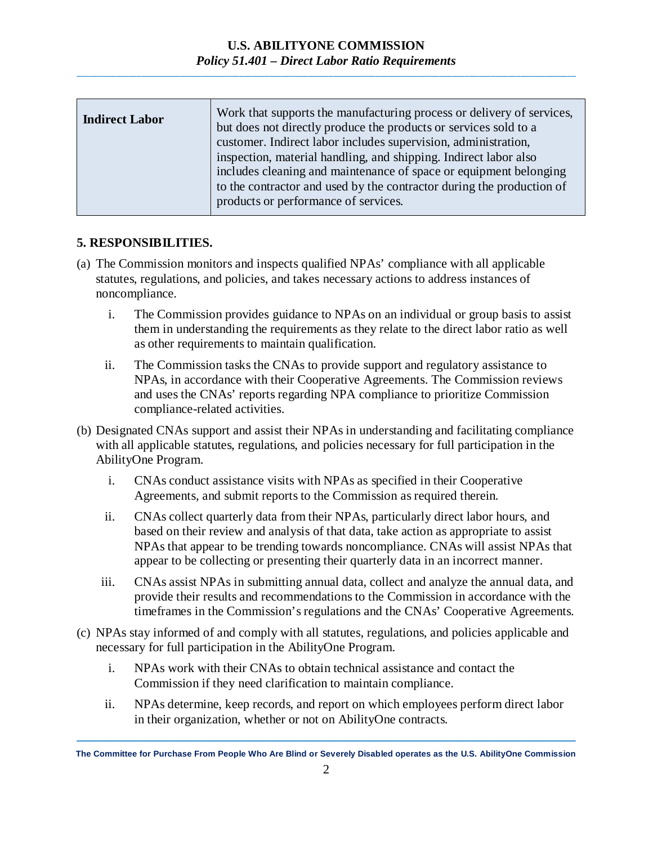| <b>Indirect Labor</b> | Work that supports the manufacturing process or delivery of services,<br>but does not directly produce the products or services sold to a |
|-----------------------|-------------------------------------------------------------------------------------------------------------------------------------------|
|                       | customer. Indirect labor includes supervision, administration,                                                                            |
|                       | inspection, material handling, and shipping. Indirect labor also<br>includes cleaning and maintenance of space or equipment belonging     |
|                       | to the contractor and used by the contractor during the production of<br>products or performance of services.                             |
|                       |                                                                                                                                           |

### **5. RESPONSIBILITIES.**

- (a) The Commission monitors and inspects qualified NPAs' compliance with all applicable statutes, regulations, and policies, and takes necessary actions to address instances of noncompliance.
	- i. The Commission provides guidance to NPAs on an individual or group basis to assist them in understanding the requirements as they relate to the direct labor ratio as well as other requirements to maintain qualification.
	- ii. The Commission tasks the CNAs to provide support and regulatory assistance to NPAs, in accordance with their Cooperative Agreements. The Commission reviews and uses the CNAs' reports regarding NPA compliance to prioritize Commission compliance-related activities.
- (b) Designated CNAs support and assist their NPAs in understanding and facilitating compliance with all applicable statutes, regulations, and policies necessary for full participation in the AbilityOne Program.
	- i. CNAs conduct assistance visits with NPAs as specified in their Cooperative Agreements, and submit reports to the Commission as required therein.
	- ii. CNAs collect quarterly data from their NPAs, particularly direct labor hours, and based on their review and analysis of that data, take action as appropriate to assist NPAs that appear to be trending towards noncompliance. CNAs will assist NPAs that appear to be collecting or presenting their quarterly data in an incorrect manner.
	- iii. CNAs assist NPAs in submitting annual data, collect and analyze the annual data, and provide their results and recommendations to the Commission in accordance with the timeframes in the Commission's regulations and the CNAs' Cooperative Agreements.
- (c) NPAs stay informed of and comply with all statutes, regulations, and policies applicable and necessary for full participation in the AbilityOne Program.
	- i. NPAs work with their CNAs to obtain technical assistance and contact the Commission if they need clarification to maintain compliance.
	- ii. NPAs determine, keep records, and report on which employees perform direct labor in their organization, whether or not on AbilityOne contracts.

**\_\_\_\_\_\_\_\_\_\_\_\_\_\_\_\_\_\_\_\_\_\_\_\_\_\_\_\_\_\_\_\_\_\_\_\_\_\_\_\_\_\_\_\_\_\_\_\_\_\_\_\_\_\_\_\_\_\_\_\_\_\_\_\_\_\_\_\_\_\_\_\_\_\_\_\_\_\_ The Committee for Purchase From People Who Are Blind or Severely Disabled operates as the U.S. AbilityOne Commission**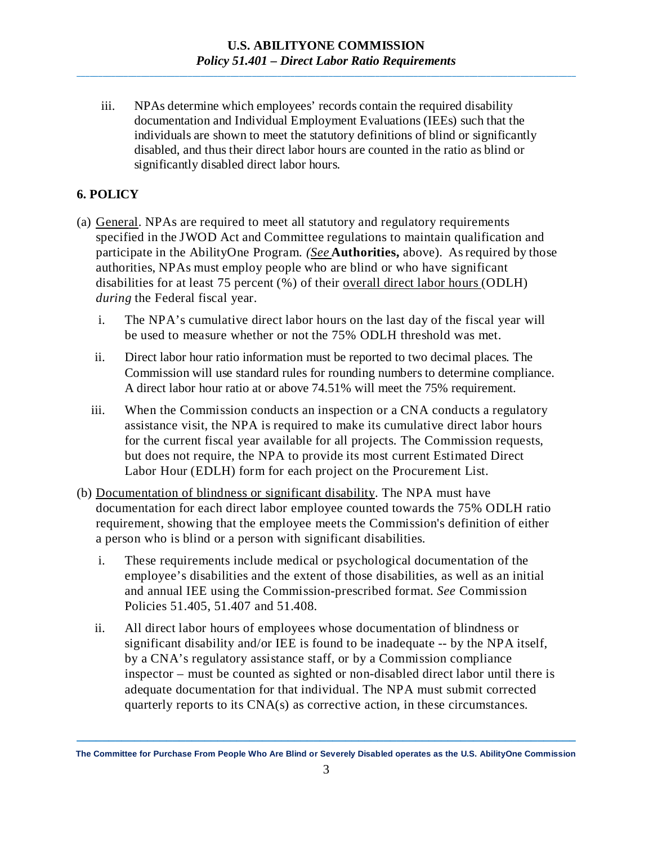iii. NPAs determine which employees' records contain the required disability documentation and Individual Employment Evaluations (IEEs) such that the individuals are shown to meet the statutory definitions of blind or significantly disabled, and thus their direct labor hours are counted in the ratio as blind or significantly disabled direct labor hours.

## **6. POLICY**

- (a) General. NPAs are required to meet all statutory and regulatory requirements specified in the JWOD Act and Committee regulations to maintain qualification and participate in the AbilityOne Program. *(See* **Authorities,** above). Asrequired by those authorities, NPAs must employ people who are blind or who have significant disabilities for at least 75 percent (%) of their overall direct labor hours (ODLH) *during* the Federal fiscal year.
	- i. The NPA's cumulative direct labor hours on the last day of the fiscal year will be used to measure whether or not the 75% ODLH threshold was met.
	- ii. Direct labor hour ratio information must be reported to two decimal places. The Commission will use standard rules for rounding numbers to determine compliance. A direct labor hour ratio at or above 74.51% will meet the 75% requirement.
	- iii. When the Commission conducts an inspection or a CNA conducts a regulatory assistance visit, the NPA is required to make its cumulative direct labor hours for the current fiscal year available for all projects. The Commission requests, but does not require, the NPA to provide its most current Estimated Direct Labor Hour (EDLH) form for each project on the Procurement List.
- (b) Documentation of blindness or significant disability. The NPA must have documentation for each direct labor employee counted towards the 75% ODLH ratio requirement, showing that the employee meets the Commission's definition of either a person who is blind or a person with significant disabilities.
	- i. These requirements include medical or psychological documentation of the employee's disabilities and the extent of those disabilities, as well as an initial and annual IEE using the Commission-prescribed format. *See* Commission Policies 51.405, 51.407 and 51.408.
	- ii. All direct labor hours of employees whose documentation of blindness or significant disability and/or IEE is found to be inadequate -- by the NPA itself, by a CNA's regulatory assistance staff, or by a Commission compliance inspector – must be counted as sighted or non-disabled direct labor until there is adequate documentation for that individual. The NPA must submit corrected quarterly reports to its CNA(s) as corrective action, in these circumstances.

**\_\_\_\_\_\_\_\_\_\_\_\_\_\_\_\_\_\_\_\_\_\_\_\_\_\_\_\_\_\_\_\_\_\_\_\_\_\_\_\_\_\_\_\_\_\_\_\_\_\_\_\_\_\_\_\_\_\_\_\_\_\_\_\_\_\_\_\_\_\_\_\_\_\_\_\_\_\_ The Committee for Purchase From People Who Are Blind or Severely Disabled operates as the U.S. AbilityOne Commission**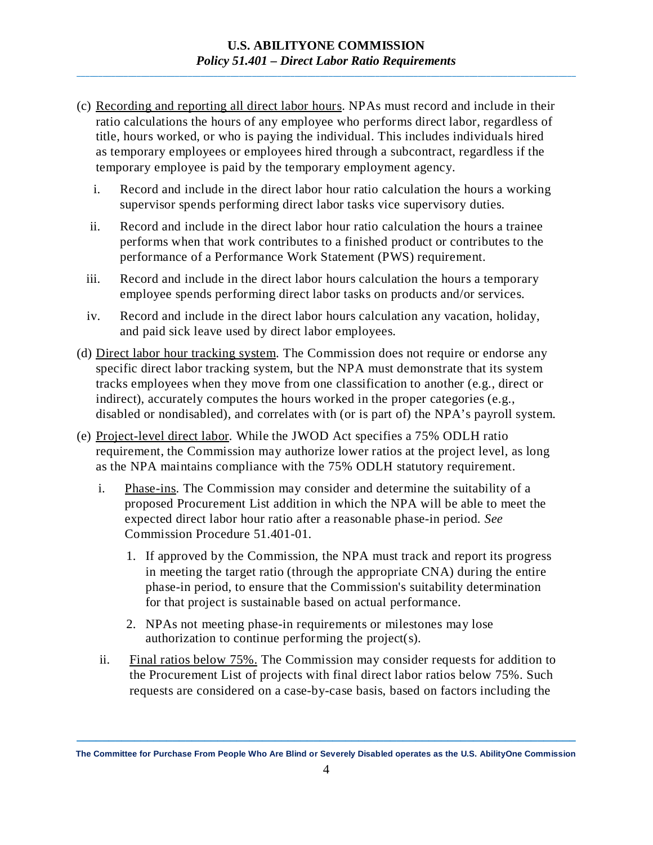- (c) Recording and reporting all direct labor hours. NPAs must record and include in their ratio calculations the hours of any employee who performs direct labor, regardless of title, hours worked, or who is paying the individual. This includes individuals hired as temporary employees or employees hired through a subcontract, regardless if the temporary employee is paid by the temporary employment agency.
	- i. Record and include in the direct labor hour ratio calculation the hours a working supervisor spends performing direct labor tasks vice supervisory duties.
	- ii. Record and include in the direct labor hour ratio calculation the hours a trainee performs when that work contributes to a finished product or contributes to the performance of a Performance Work Statement (PWS) requirement.
	- iii. Record and include in the direct labor hours calculation the hours a temporary employee spends performing direct labor tasks on products and/or services.
	- iv. Record and include in the direct labor hours calculation any vacation, holiday, and paid sick leave used by direct labor employees.
- (d) Direct labor hour tracking system. The Commission does not require or endorse any specific direct labor tracking system, but the NPA must demonstrate that its system tracks employees when they move from one classification to another (e.g., direct or indirect), accurately computes the hours worked in the proper categories (e.g., disabled or nondisabled), and correlates with (or is part of) the NPA's payroll system.
- (e) Project-level direct labor. While the JWOD Act specifies a 75% ODLH ratio requirement, the Commission may authorize lower ratios at the project level, as long as the NPA maintains compliance with the 75% ODLH statutory requirement.
	- i. Phase-ins. The Commission may consider and determine the suitability of a proposed Procurement List addition in which the NPA will be able to meet the expected direct labor hour ratio after a reasonable phase-in period. *See* Commission Procedure 51.401-01.
		- 1. If approved by the Commission, the NPA must track and report its progress in meeting the target ratio (through the appropriate CNA) during the entire phase-in period, to ensure that the Commission's suitability determination for that project is sustainable based on actual performance.
		- 2. NPAs not meeting phase-in requirements or milestones may lose authorization to continue performing the project(s).
	- ii. Final ratios below 75%. The Commission may consider requests for addition to the Procurement List of projects with final direct labor ratios below 75%. Such requests are considered on a case-by-case basis, based on factors including the

**\_\_\_\_\_\_\_\_\_\_\_\_\_\_\_\_\_\_\_\_\_\_\_\_\_\_\_\_\_\_\_\_\_\_\_\_\_\_\_\_\_\_\_\_\_\_\_\_\_\_\_\_\_\_\_\_\_\_\_\_\_\_\_\_\_\_\_\_\_\_\_\_\_\_\_\_\_\_ The Committee for Purchase From People Who Are Blind or Severely Disabled operates as the U.S. AbilityOne Commission**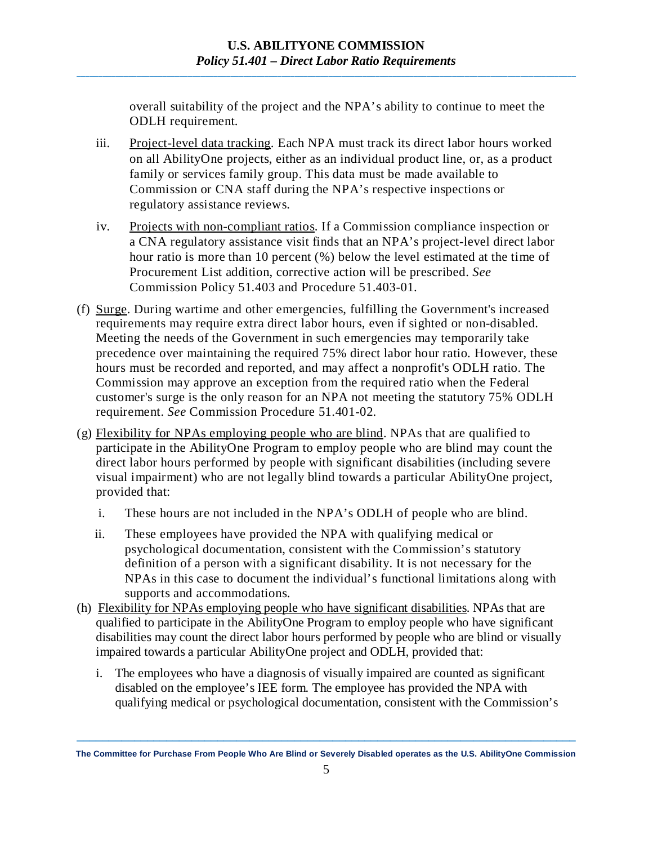overall suitability of the project and the NPA's ability to continue to meet the ODLH requirement.

- iii. Project-level data tracking. Each NPA must track its direct labor hours worked on all AbilityOne projects, either as an individual product line, or, as a product family or services family group. This data must be made available to Commission or CNA staff during the NPA's respective inspections or regulatory assistance reviews.
- iv. Projects with non-compliant ratios. If a Commission compliance inspection or a CNA regulatory assistance visit finds that an NPA's project-level direct labor hour ratio is more than 10 percent (%) below the level estimated at the time of Procurement List addition, corrective action will be prescribed. *See* Commission Policy 51.403 and Procedure 51.403-01.
- (f) Surge. During wartime and other emergencies, fulfilling the Government's increased requirements may require extra direct labor hours, even if sighted or non-disabled. Meeting the needs of the Government in such emergencies may temporarily take precedence over maintaining the required 75% direct labor hour ratio. However, these hours must be recorded and reported, and may affect a nonprofit's ODLH ratio. The Commission may approve an exception from the required ratio when the Federal customer's surge is the only reason for an NPA not meeting the statutory 75% ODLH requirement. *See* Commission Procedure 51.401-02.
- (g) Flexibility for NPAs employing people who are blind. NPAs that are qualified to participate in the AbilityOne Program to employ people who are blind may count the direct labor hours performed by people with significant disabilities (including severe visual impairment) who are not legally blind towards a particular AbilityOne project, provided that:
	- i. These hours are not included in the NPA's ODLH of people who are blind.
	- ii. These employees have provided the NPA with qualifying medical or psychological documentation, consistent with the Commission's statutory definition of a person with a significant disability. It is not necessary for the NPAs in this case to document the individual's functional limitations along with supports and accommodations.
- (h) Flexibility for NPAs employing people who have significant disabilities. NPAs that are qualified to participate in the AbilityOne Program to employ people who have significant disabilities may count the direct labor hours performed by people who are blind or visually impaired towards a particular AbilityOne project and ODLH, provided that:
	- i. The employees who have a diagnosis of visually impaired are counted as significant disabled on the employee's IEE form. The employee has provided the NPA with qualifying medical or psychological documentation, consistent with the Commission's

**\_\_\_\_\_\_\_\_\_\_\_\_\_\_\_\_\_\_\_\_\_\_\_\_\_\_\_\_\_\_\_\_\_\_\_\_\_\_\_\_\_\_\_\_\_\_\_\_\_\_\_\_\_\_\_\_\_\_\_\_\_\_\_\_\_\_\_\_\_\_\_\_\_\_\_\_\_\_ The Committee for Purchase From People Who Are Blind or Severely Disabled operates as the U.S. AbilityOne Commission**